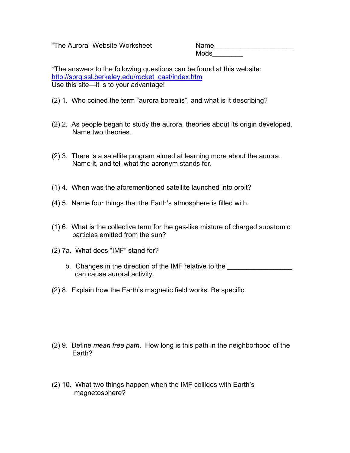"The Aurora" Website Worksheet Name\_\_\_\_\_\_\_\_\_\_\_\_\_\_\_\_\_\_\_\_\_

 $\sf{Mods} \_\_$ 

\*The answers to the following questions can be found at this website: http://sprg.ssl.berkeley.edu/rocket\_cast/index.htm Use this site—it is to your advantage!

- (2) 1. Who coined the term "aurora borealis", and what is it describing?
- (2) 2. As people began to study the aurora, theories about its origin developed. Name two theories.
- (2) 3. There is a satellite program aimed at learning more about the aurora. Name it, and tell what the acronym stands for.
- (1) 4. When was the aforementioned satellite launched into orbit?
- (4) 5. Name four things that the Earth's atmosphere is filled with.
- (1) 6. What is the collective term for the gas-like mixture of charged subatomic particles emitted from the sun?
- (2) 7a. What does "IMF" stand for?
	- b. Changes in the direction of the IMF relative to the \_\_\_\_\_\_\_\_\_\_\_\_\_\_\_\_\_\_\_\_\_\_\_\_\_ can cause auroral activity.
- (2) 8. Explain how the Earth's magnetic field works. Be specific.

- (2) 9. Define *mean free path*. How long is this path in the neighborhood of the Earth?
- (2) 10. What two things happen when the IMF collides with Earth's magnetosphere?